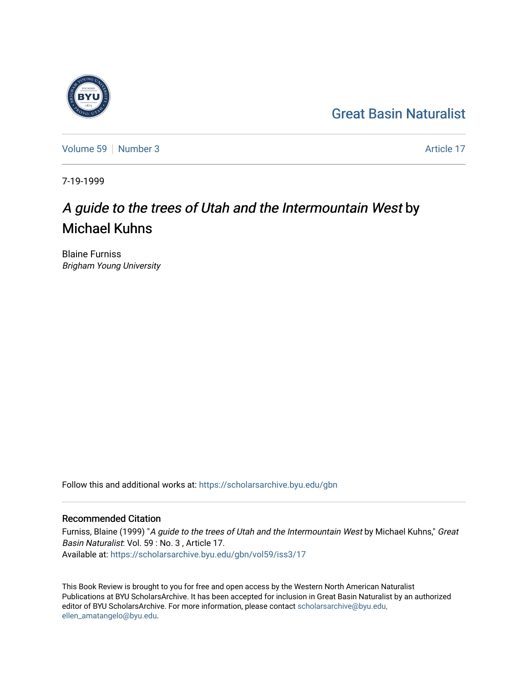### [Great Basin Naturalist](https://scholarsarchive.byu.edu/gbn)

[Volume 59](https://scholarsarchive.byu.edu/gbn/vol59) [Number 3](https://scholarsarchive.byu.edu/gbn/vol59/iss3) Article 17

7-19-1999

### A guide to the trees of Utah and the Intermountain West by Michael Kuhns

Blaine Furniss Brigham Young University

Follow this and additional works at: [https://scholarsarchive.byu.edu/gbn](https://scholarsarchive.byu.edu/gbn?utm_source=scholarsarchive.byu.edu%2Fgbn%2Fvol59%2Fiss3%2F17&utm_medium=PDF&utm_campaign=PDFCoverPages) 

#### Recommended Citation

Furniss, Blaine (1999) "A guide to the trees of Utah and the Intermountain West by Michael Kuhns," Great Basin Naturalist: Vol. 59 : No. 3 , Article 17. Available at: [https://scholarsarchive.byu.edu/gbn/vol59/iss3/17](https://scholarsarchive.byu.edu/gbn/vol59/iss3/17?utm_source=scholarsarchive.byu.edu%2Fgbn%2Fvol59%2Fiss3%2F17&utm_medium=PDF&utm_campaign=PDFCoverPages) 

This Book Review is brought to you for free and open access by the Western North American Naturalist Publications at BYU ScholarsArchive. It has been accepted for inclusion in Great Basin Naturalist by an authorized editor of BYU ScholarsArchive. For more information, please contact [scholarsarchive@byu.edu,](mailto:scholarsarchive@byu.edu,%20ellen_amatangelo@byu.edu) [ellen\\_amatangelo@byu.edu](mailto:scholarsarchive@byu.edu,%20ellen_amatangelo@byu.edu).